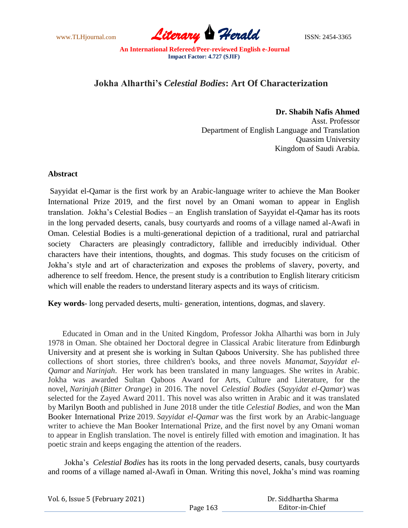www.TLHjournal.com **Literary Perald ISSN: 2454-3365** 

## **Jokha Alharthi's** *Celestial Bodies***: Art Of Characterization**

**Dr. Shabih Nafis Ahmed** Asst. Professor Department of English Language and Translation Quassim University Kingdom of Saudi Arabia.

## **Abstract**

Sayyidat el-Qamar is the first work by an Arabic-language writer to achieve the Man Booker International Prize 2019, and the first novel by an Omani woman to appear in English translation. Jokha"s Celestial Bodies – an English translation of Sayyidat el-Qamar has its roots in the long pervaded deserts, canals, busy courtyards and rooms of a village named al-Awafi in Oman. Celestial Bodies is a multi-generational depiction of a traditional, rural and patriarchal society Characters are pleasingly contradictory, fallible and irreducibly individual. Other characters have their intentions, thoughts, and dogmas. This study focuses on the criticism of Jokha"s style and art of characterization and exposes the problems of slavery, poverty, and adherence to self freedom. Hence, the present study is a contribution to English literary criticism which will enable the readers to understand literary aspects and its ways of criticism.

**Key words**- long pervaded deserts, multi- generation, intentions, dogmas, and slavery.

Educated in Oman and in the United Kingdom, Professor Jokha Alharthi was born in July 1978 in Oman. She obtained her Doctoral degree in Classical Arabic literature from Edinburgh University and at present she is working in Sultan Qaboos University. She has published three collections of short stories, three children's books, and three novels *Manamat*, *Sayyidat el-Qamar* and *Narinjah*. Her work has been translated in many languages. She writes in Arabic. Jokha was awarded Sultan Qaboos Award for Arts, Culture and Literature, for the novel, *Narinjah* (*Bitter Orange*) in 2016. The novel *Celestial Bodies* (*Sayyidat el-Qamar*) was selected for the Zayed Award 2011. This novel was also written in Arabic and it was translated by Marilyn Booth and published in June 2018 under the title *Celestial Bodies*, and won the Man Booker International Prize 2019. *Sayyidat el-Qamar* was the first work by an Arabic-language writer to achieve the Man Booker International Prize, and the first novel by any Omani woman to appear in English translation. The novel is entirely filled with emotion and imagination. It has poetic strain and keeps engaging the attention of the readers.

Jokha"s *Celestial Bodies* has its roots in the long pervaded deserts, canals, busy courtyards and rooms of a village named al-Awafi in Oman. Writing this novel, Jokha"s mind was roaming

| Vol. 6, Issue 5 (February 2021) |          | Dr. Siddhartha Sharma |
|---------------------------------|----------|-----------------------|
|                                 | Page 163 | Editor-in-Chief       |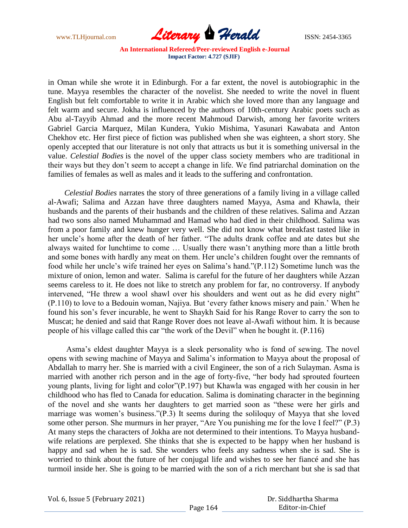

in Oman while she wrote it in Edinburgh. For a far extent, the novel is autobiographic in the tune. Mayya resembles the character of the novelist. She needed to write the novel in fluent English but felt comfortable to write it in Arabic which she loved more than any language and felt warm and secure. Jokha is influenced by the authors of 10th-century Arabic poets such as Abu al-Tayyib Ahmad and the more recent Mahmoud Darwish, among her favorite writers Gabriel Garcia Marquez, Milan Kundera, Yukio Mishima, Yasunari Kawabata and Anton Chekhov etc. Her first piece of fiction was published when she was eighteen, a short story. She openly accepted that our literature is not only that attracts us but it is something universal in the value. *Celestial Bodies* is the novel of the upper class society members who are traditional in their ways but they don"t seem to accept a change in life. We find patriarchal domination on the families of females as well as males and it leads to the suffering and confrontation.

*Celestial Bodies* narrates the story of three generations of a family living in a village called al-Awafi; Salima and Azzan have three daughters named Mayya, Asma and Khawla, their husbands and the parents of their husbands and the children of these relatives. Salima and Azzan had two sons also named Muhammad and Hamad who had died in their childhood. Salima was from a poor family and knew hunger very well. She did not know what breakfast tasted like in her uncle"s home after the death of her father. "The adults drank coffee and ate dates but she always waited for lunchtime to come … Usually there wasn"t anything more than a little broth and some bones with hardly any meat on them. Her uncle's children fought over the remnants of food while her uncle"s wife trained her eyes on Salima"s hand."(P.112) Sometime lunch was the mixture of onion, lemon and water. Salima is careful for the future of her daughters while Azzan seems careless to it. He does not like to stretch any problem for far, no controversy. If anybody intervened, "He threw a wool shawl over his shoulders and went out as he did every night" (P.110) to love to a Bedouin woman, Najiya. But "every father knows misery and pain." When he found his son"s fever incurable, he went to Shaykh Said for his Range Rover to carry the son to Muscat; he denied and said that Range Rover does not leave al-Awafi without him. It is because people of his village called this car "the work of the Devil" when he bought it. (P.116)

 Asma"s eldest daughter Mayya is a sleek personality who is fond of sewing. The novel opens with sewing machine of Mayya and Salima"s information to Mayya about the proposal of Abdallah to marry her. She is married with a civil Engineer, the son of a rich Sulayman. Asma is married with another rich person and in the age of forty-five, "her body had sprouted fourteen young plants, living for light and color"(P.197) but Khawla was engaged with her cousin in her childhood who has fled to Canada for education. Salima is dominating character in the beginning of the novel and she wants her daughters to get married soon as "these were her girls and marriage was women's business."(P.3) It seems during the soliloquy of Mayya that she loved some other person. She murmurs in her prayer, "Are You punishing me for the love I feel?" (P.3) At many steps the characters of Jokha are not determined to their intentions. To Mayya husbandwife relations are perplexed. She thinks that she is expected to be happy when her husband is happy and sad when he is sad. She wonders who feels any sadness when she is sad. She is worried to think about the future of her conjugal life and wishes to see her fiancé and she has turmoil inside her. She is going to be married with the son of a rich merchant but she is sad that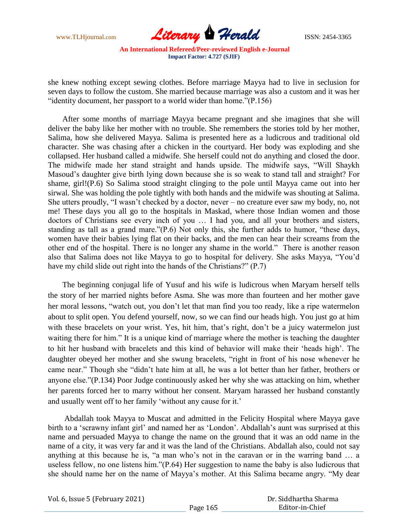

she knew nothing except sewing clothes. Before marriage Mayya had to live in seclusion for seven days to follow the custom. She married because marriage was also a custom and it was her "identity document, her passport to a world wider than home."(P.156)

After some months of marriage Mayya became pregnant and she imagines that she will deliver the baby like her mother with no trouble. She remembers the stories told by her mother, Salima, how she delivered Mayya. Salima is presented here as a ludicrous and traditional old character. She was chasing after a chicken in the courtyard. Her body was exploding and she collapsed. Her husband called a midwife. She herself could not do anything and closed the door. The midwife made her stand straight and hands upside. The midwife says, "Will Shaykh Masoud"s daughter give birth lying down because she is so weak to stand tall and straight? For shame, girl!(P.6) So Salima stood straight clinging to the pole until Mayya came out into her sirwal. She was holding the pole tightly with both hands and the midwife was shouting at Salima. She utters proudly, "I wasn't checked by a doctor, never – no creature ever saw my body, no, not me! These days you all go to the hospitals in Maskad, where those Indian women and those doctors of Christians see every inch of you … I had you, and all your brothers and sisters, standing as tall as a grand mare."(P.6) Not only this, she further adds to humor, "these days, women have their babies lying flat on their backs, and the men can hear their screams from the other end of the hospital. There is no longer any shame in the world." There is another reason also that Salima does not like Mayya to go to hospital for delivery. She asks Mayya, "You"d have my child slide out right into the hands of the Christians?" (P.7)

The beginning conjugal life of Yusuf and his wife is ludicrous when Maryam herself tells the story of her married nights before Asma. She was more than fourteen and her mother gave her moral lessons, "watch out, you don't let that man find you too ready, like a ripe watermelon about to split open. You defend yourself, now, so we can find our heads high. You just go at him with these bracelets on your wrist. Yes, hit him, that's right, don't be a juicy watermelon just waiting there for him." It is a unique kind of marriage where the mother is teaching the daughter to hit her husband with bracelets and this kind of behavior will make their "heads high". The daughter obeyed her mother and she swung bracelets, "right in front of his nose whenever he came near." Though she "didn"t hate him at all, he was a lot better than her father, brothers or anyone else."(P.134) Poor Judge continuously asked her why she was attacking on him, whether her parents forced her to marry without her consent. Maryam harassed her husband constantly and usually went off to her family 'without any cause for it.'

Abdallah took Mayya to Muscat and admitted in the Felicity Hospital where Mayya gave birth to a 'scrawny infant girl' and named her as 'London'. Abdallah's aunt was surprised at this name and persuaded Mayya to change the name on the ground that it was an odd name in the name of a city, it was very far and it was the land of the Christians. Abdallah also, could not say anything at this because he is, "a man who"s not in the caravan or in the warring band … a useless fellow, no one listens him."(P.64) Her suggestion to name the baby is also ludicrous that she should name her on the name of Mayya"s mother. At this Salima became angry. "My dear

| Vol. 6, Issue 5 (February 2021) |          | Dr. Siddhartha Sharma |
|---------------------------------|----------|-----------------------|
|                                 | Page 165 | Editor-in-Chief       |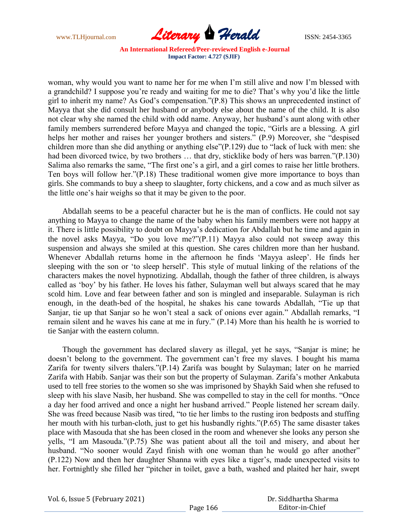

woman, why would you want to name her for me when I"m still alive and now I"m blessed with a grandchild? I suppose you"re ready and waiting for me to die? That"s why you"d like the little girl to inherit my name? As God"s compensation."(P.8) This shows an unprecedented instinct of Mayya that she did consult her husband or anybody else about the name of the child. It is also not clear why she named the child with odd name. Anyway, her husband"s aunt along with other family members surrendered before Mayya and changed the topic, "Girls are a blessing. A girl helps her mother and raises her younger brothers and sisters." (P.9) Moreover, she "despised children more than she did anything or anything else"(P.129) due to "lack of luck with men: she had been divorced twice, by two brothers ... that dry, sticklike body of hers was barren."(P.130) Salima also remarks the same, "The first one's a girl, and a girl comes to raise her little brothers. Ten boys will follow her."(P.18) These traditional women give more importance to boys than girls. She commands to buy a sheep to slaughter, forty chickens, and a cow and as much silver as the little one"s hair weighs so that it may be given to the poor.

Abdallah seems to be a peaceful character but he is the man of conflicts. He could not say anything to Mayya to change the name of the baby when his family members were not happy at it. There is little possibility to doubt on Mayya"s dedication for Abdallah but he time and again in the novel asks Mayya, "Do you love me?"(P.11) Mayya also could not sweep away this suspension and always she smiled at this question. She cares children more than her husband. Whenever Abdallah returns home in the afternoon he finds "Mayya asleep". He finds her sleeping with the son or "to sleep herself". This style of mutual linking of the relations of the characters makes the novel hypnotizing. Abdallah, though the father of three children, is always called as "boy" by his father. He loves his father, Sulayman well but always scared that he may scold him. Love and fear between father and son is mingled and inseparable. Sulayman is rich enough, in the death-bed of the hospital, he shakes his cane towards Abdallah, "Tie up that Sanjar, tie up that Sanjar so he won"t steal a sack of onions ever again." Abdallah remarks, "I remain silent and he waves his cane at me in fury." (P.14) More than his health he is worried to tie Sanjar with the eastern column.

Though the government has declared slavery as illegal, yet he says, "Sanjar is mine; he doesn't belong to the government. The government can't free my slaves. I bought his mama Zarifa for twenty silvers thalers."(P.14) Zarifa was bought by Sulayman; later on he married Zarifa with Habib. Sanjar was their son but the property of Sulayman. Zarifa"s mother Ankabuta used to tell free stories to the women so she was imprisoned by Shaykh Said when she refused to sleep with his slave Nasib, her husband. She was compelled to stay in the cell for months. "Once a day her food arrived and once a night her husband arrived." People listened her scream daily. She was freed because Nasib was tired, "to tie her limbs to the rusting iron bedposts and stuffing her mouth with his turban-cloth, just to get his husbandly rights."(P.65) The same disaster takes place with Masouda that she has been closed in the room and whenever she looks any person she yells, "I am Masouda."(P.75) She was patient about all the toil and misery, and about her husband. "No sooner would Zayd finish with one woman than he would go after another" (P.122) Now and then her daughter Shanna with eyes like a tiger"s, made unexpected visits to her. Fortnightly she filled her "pitcher in toilet, gave a bath, washed and plaited her hair, swept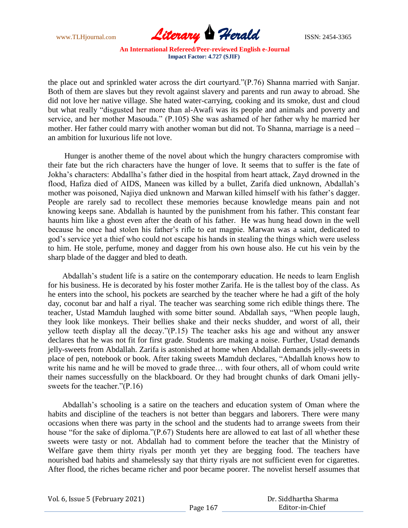

the place out and sprinkled water across the dirt courtyard."(P.76) Shanna married with Sanjar. Both of them are slaves but they revolt against slavery and parents and run away to abroad. She did not love her native village. She hated water-carrying, cooking and its smoke, dust and cloud but what really "disgusted her more than al-Awafi was its people and animals and poverty and service, and her mother Masouda." (P.105) She was ashamed of her father why he married her mother. Her father could marry with another woman but did not. To Shanna, marriage is a need – an ambition for luxurious life not love.

Hunger is another theme of the novel about which the hungry characters compromise with their fate but the rich characters have the hunger of love. It seems that to suffer is the fate of Jokha"s characters: Abdallha"s father died in the hospital from heart attack, Zayd drowned in the flood, Hafiza died of AIDS, Maneen was killed by a bullet, Zarifa died unknown, Abdallah"s mother was poisoned, Najiya died unknown and Marwan killed himself with his father"s dagger. People are rarely sad to recollect these memories because knowledge means pain and not knowing keeps sane. Abdallah is haunted by the punishment from his father. This constant fear haunts him like a ghost even after the death of his father. He was hung head down in the well because he once had stolen his father"s rifle to eat magpie. Marwan was a saint, dedicated to god"s service yet a thief who could not escape his hands in stealing the things which were useless to him. He stole, perfume, money and dagger from his own house also. He cut his vein by the sharp blade of the dagger and bled to death.

Abdallah"s student life is a satire on the contemporary education. He needs to learn English for his business. He is decorated by his foster mother Zarifa. He is the tallest boy of the class. As he enters into the school, his pockets are searched by the teacher where he had a gift of the holy day, coconut bar and half a riyal. The teacher was searching some rich edible things there. The teacher, Ustad Mamduh laughed with some bitter sound. Abdallah says, "When people laugh, they look like monkeys. Their bellies shake and their necks shudder, and worst of all, their yellow teeth display all the decay."(P.15) The teacher asks his age and without any answer declares that he was not fit for first grade. Students are making a noise. Further, Ustad demands jelly-sweets from Abdallah. Zarifa is astonished at home when Abdallah demands jelly-sweets in place of pen, notebook or book. After taking sweets Mamduh declares, "Abdallah knows how to write his name and he will be moved to grade three… with four others, all of whom could write their names successfully on the blackboard. Or they had brought chunks of dark Omani jellysweets for the teacher."(P.16)

Abdallah"s schooling is a satire on the teachers and education system of Oman where the habits and discipline of the teachers is not better than beggars and laborers. There were many occasions when there was party in the school and the students had to arrange sweets from their house "for the sake of diploma."(P.67) Students here are allowed to eat last of all whether these sweets were tasty or not. Abdallah had to comment before the teacher that the Ministry of Welfare gave them thirty riyals per month yet they are begging food. The teachers have nourished bad habits and shamelessly say that thirty riyals are not sufficient even for cigarettes. After flood, the riches became richer and poor became poorer. The novelist herself assumes that

| Vol. 6, Issue 5 (February 2021) |  |  |
|---------------------------------|--|--|
|---------------------------------|--|--|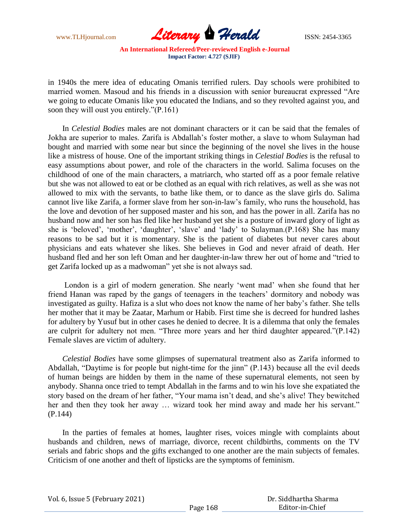

in 1940s the mere idea of educating Omanis terrified rulers. Day schools were prohibited to married women. Masoud and his friends in a discussion with senior bureaucrat expressed "Are we going to educate Omanis like you educated the Indians, and so they revolted against you, and soon they will oust you entirely."(P.161)

In *Celestial Bodies* males are not dominant characters or it can be said that the females of Jokha are superior to males. Zarifa is Abdallah"s foster mother, a slave to whom Sulayman had bought and married with some near but since the beginning of the novel she lives in the house like a mistress of house. One of the important striking things in *Celestial Bodies* is the refusal to easy assumptions about power, and role of the characters in the world. Salima focuses on the childhood of one of the main characters, a matriarch, who started off as a poor female relative but she was not allowed to eat or be clothed as an equal with rich relatives, as well as she was not allowed to mix with the servants, to bathe like them, or to dance as the slave girls do. Salima cannot live like Zarifa, a former slave from her son-in-law"s family, who runs the household, has the love and devotion of her supposed master and his son, and has the power in all. Zarifa has no husband now and her son has fled like her husband yet she is a posture of inward glory of light as she is 'beloved', 'mother', 'daughter', 'slave' and 'lady' to Sulayman.(P.168) She has many reasons to be sad but it is momentary. She is the patient of diabetes but never cares about physicians and eats whatever she likes. She believes in God and never afraid of death. Her husband fled and her son left Oman and her daughter-in-law threw her out of home and "tried to get Zarifa locked up as a madwoman" yet she is not always sad.

London is a girl of modern generation. She nearly "went mad" when she found that her friend Hanan was raped by the gangs of teenagers in the teachers' dormitory and nobody was investigated as guilty. Hafiza is a slut who does not know the name of her baby"s father. She tells her mother that it may be Zaatar, Marhum or Habib. First time she is decreed for hundred lashes for adultery by Yusuf but in other cases he denied to decree. It is a dilemma that only the females are culprit for adultery not men. "Three more years and her third daughter appeared."(P.142) Female slaves are victim of adultery.

*Celestial Bodies* have some glimpses of supernatural treatment also as Zarifa informed to Abdallah, "Daytime is for people but night-time for the jinn" (P.143) because all the evil deeds of human beings are hidden by them in the name of these supernatural elements, not seen by anybody. Shanna once tried to tempt Abdallah in the farms and to win his love she expatiated the story based on the dream of her father, "Your mama isn't dead, and she's alive! They bewitched her and then they took her away … wizard took her mind away and made her his servant." (P.144)

In the parties of females at homes, laughter rises, voices mingle with complaints about husbands and children, news of marriage, divorce, recent childbirths, comments on the TV serials and fabric shops and the gifts exchanged to one another are the main subjects of females. Criticism of one another and theft of lipsticks are the symptoms of feminism.

| Vol. 6, Issue 5 (February 2021) |  |  |
|---------------------------------|--|--|
|---------------------------------|--|--|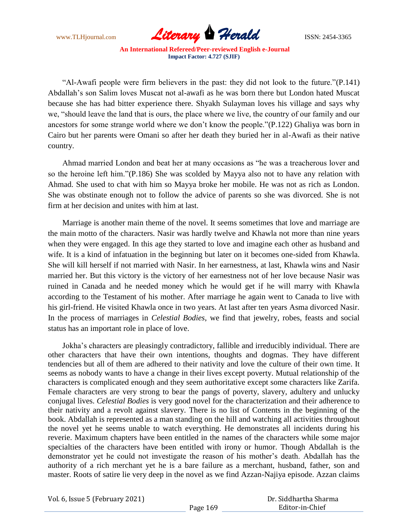

"Al-Awafi people were firm believers in the past: they did not look to the future."(P.141) Abdallah"s son Salim loves Muscat not al-awafi as he was born there but London hated Muscat because she has had bitter experience there. Shyakh Sulayman loves his village and says why we, "should leave the land that is ours, the place where we live, the country of our family and our ancestors for some strange world where we don"t know the people."(P.122) Ghaliya was born in Cairo but her parents were Omani so after her death they buried her in al-Awafi as their native country.

Ahmad married London and beat her at many occasions as "he was a treacherous lover and so the heroine left him."(P.186) She was scolded by Mayya also not to have any relation with Ahmad. She used to chat with him so Mayya broke her mobile. He was not as rich as London. She was obstinate enough not to follow the advice of parents so she was divorced. She is not firm at her decision and unites with him at last.

Marriage is another main theme of the novel. It seems sometimes that love and marriage are the main motto of the characters. Nasir was hardly twelve and Khawla not more than nine years when they were engaged. In this age they started to love and imagine each other as husband and wife. It is a kind of infatuation in the beginning but later on it becomes one-sided from Khawla. She will kill herself if not married with Nasir. In her earnestness, at last, Khawla wins and Nasir married her. But this victory is the victory of her earnestness not of her love because Nasir was ruined in Canada and he needed money which he would get if he will marry with Khawla according to the Testament of his mother. After marriage he again went to Canada to live with his girl-friend. He visited Khawla once in two years. At last after ten years Asma divorced Nasir. In the process of marriages in *Celestial Bodies*, we find that jewelry, robes, feasts and social status has an important role in place of love.

Jokha"s characters are pleasingly contradictory, fallible and irreducibly individual. There are other characters that have their own intentions, thoughts and dogmas. They have different tendencies but all of them are adhered to their nativity and love the culture of their own time. It seems as nobody wants to have a change in their lives except poverty. Mutual relationship of the characters is complicated enough and they seem authoritative except some characters like Zarifa. Female characters are very strong to bear the pangs of poverty, slavery, adultery and unlucky conjugal lives. *Celestial Bodies* is very good novel for the characterization and their adherence to their nativity and a revolt against slavery. There is no list of Contents in the beginning of the book. Abdallah is represented as a man standing on the hill and watching all activities throughout the novel yet he seems unable to watch everything. He demonstrates all incidents during his reverie. Maximum chapters have been entitled in the names of the characters while some major specialties of the characters have been entitled with irony or humor. Though Abdallah is the demonstrator yet he could not investigate the reason of his mother"s death. Abdallah has the authority of a rich merchant yet he is a bare failure as a merchant, husband, father, son and master. Roots of satire lie very deep in the novel as we find Azzan-Najiya episode. Azzan claims

Vol. 6, Issue 5 (February 2021)